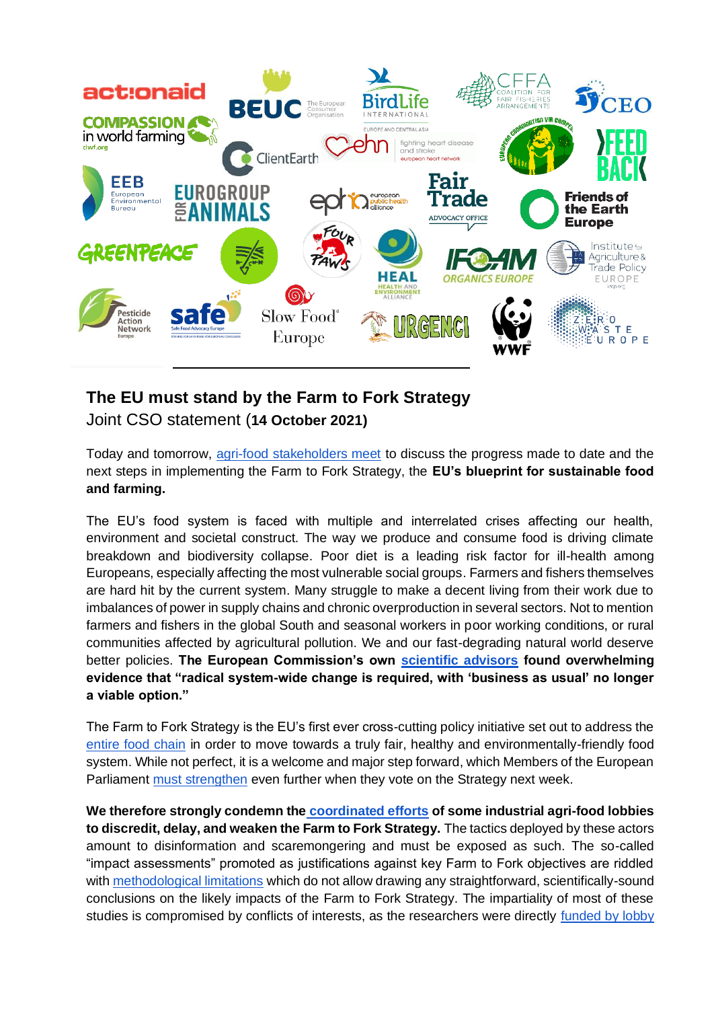

## **The EU must stand by the Farm to Fork Strategy**

## Joint CSO statement (**14 October 2021)**

Today and tomorrow, [agri-food stakeholders meet](https://ec.europa.eu/food/horizontal-topics/farm-fork-strategy/farm-fork-conference_fr) to discuss the progress made to date and the next steps in implementing the Farm to Fork Strategy, the **EU's blueprint for sustainable food and farming.**

The EU's food system is faced with multiple and interrelated crises affecting our health, environment and societal construct. The way we produce and consume food is driving climate breakdown and biodiversity collapse. Poor diet is a leading risk factor for ill-health among Europeans, especially affecting the most vulnerable social groups. Farmers and fishers themselves are hard hit by the current system. Many struggle to make a decent living from their work due to imbalances of power in supply chains and chronic overproduction in several sectors. Not to mention farmers and fishers in the global South and seasonal workers in poor working conditions, or rural communities affected by agricultural pollution. We and our fast-degrading natural world deserve better policies. **The European Commission's own [scientific advisors](https://www.sapea.info/wp-content/uploads/sustainable-food-system-report.pdf) found overwhelming evidence that "radical system-wide change is required, with 'business as usual' no longer a viable option."**

The Farm to Fork Strategy is the EU's first ever cross-cutting policy initiative set out to address the [entire food chain](https://foodpolicycoalition.eu/wp-content/uploads/2021/10/Food-Environments-for-SFS_EU-FPC.pdf) in order to move towards a truly fair, healthy and environmentally-friendly food system. While not perfect, it is a welcome and major step forward, which Members of the European Parliament [must strengthen](https://foodpolicycoalition.eu/wp-content/uploads/2021/04/10-priorities-for-the-Farm-to-Fork-INI-report_final-1.pdf) even further when they vote on the Strategy next week.

**We therefore strongly condemn the [coordinated efforts](https://www.lemonde.fr/planete/article/2021/10/12/l-intense-lobbying-de-l-agro-industrie-contre-le-volet-agricole-du-pacte-vert-europeen-farm-to-fork_6098049_3244.html) of some industrial agri-food lobbies to discredit, delay, and weaken the Farm to Fork Strategy.** The tactics deployed by these actors amount to disinformation and scaremongering and must be exposed as such. The so-called "impact assessments" promoted as justifications against key Farm to Fork objectives are riddled wit[h](https://www.inrae.fr/en/news/usda-assessment-european-strategies-associated-green-deal-gives-pessimistic-view-due-simplistic-approach) [methodological limitations](https://www.inrae.fr/en/news/usda-assessment-european-strategies-associated-green-deal-gives-pessimistic-view-due-simplistic-approach) which do not allow drawing any straightforward, scientifically-sound conclusions on the likely impacts of the Farm to Fork Strategy. The impartiality of most of these studies is compromised by conflicts of interests, as the researchers were directl[y](https://www.euractiv.com/section/agriculture-food/news/green-agri-goals-achievable-but-risk-being-undermined-by-carbon-leakage-report/) [funded by lobby](https://www.euractiv.com/section/agriculture-food/news/green-agri-goals-achievable-but-risk-being-undermined-by-carbon-leakage-report/)